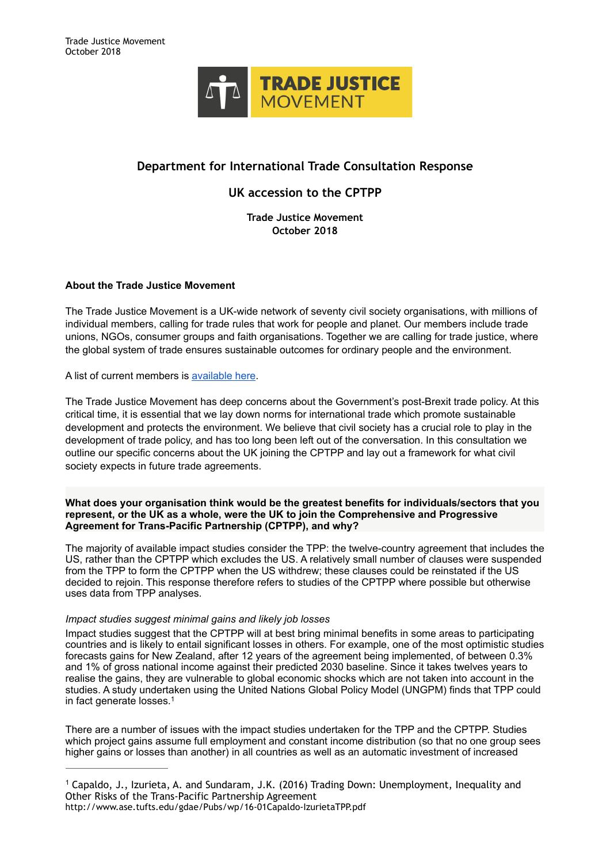

# **Department for International Trade Consultation Response**

# **UK accession to the CPTPP**

**Trade Justice Movement October 2018**

# **About the Trade Justice Movement**

The Trade Justice Movement is a UK-wide network of seventy civil society organisations, with millions of individual members, calling for trade rules that work for people and planet. Our members include trade unions, NGOs, consumer groups and faith organisations. Together we are calling for trade justice, where the global system of trade ensures sustainable outcomes for ordinary people and the environment.

A list of current members is [available here](https://www.tjm.org.uk/our-members).

The Trade Justice Movement has deep concerns about the Government's post-Brexit trade policy. At this critical time, it is essential that we lay down norms for international trade which promote sustainable development and protects the environment. We believe that civil society has a crucial role to play in the development of trade policy, and has too long been left out of the conversation. In this consultation we outline our specific concerns about the UK joining the CPTPP and lay out a framework for what civil society expects in future trade agreements.

### **What does your organisation think would be the greatest benefits for individuals/sectors that you represent, or the UK as a whole, were the UK to join the Comprehensive and Progressive Agreement for Trans-Pacific Partnership (CPTPP), and why?**

The majority of available impact studies consider the TPP: the twelve-country agreement that includes the US, rather than the CPTPP which excludes the US. A relatively small number of clauses were suspended from the TPP to form the CPTPP when the US withdrew; these clauses could be reinstated if the US decided to rejoin. This response therefore refers to studies of the CPTPP where possible but otherwise uses data from TPP analyses.

# *Impact studies suggest minimal gains and likely job losses*

Impact studies suggest that the CPTPP will at best bring minimal benefits in some areas to participating countries and is likely to entail significant losses in others. For example, one of the most optimistic studies forecasts gains for New Zealand, after 12 years of the agreement being implemented, of between 0.3% and 1% of gross national income against their predicted 2030 baseline. Since it takes twelves years to realise the gains, they are vulnerable to global economic shocks which are not taken into account in the studies. A study undertaken using the United Nations Global Policy Model (UNGPM) finds that TPP could in fact generate losses.1

There are a number of issues with the impact studies undertaken for the TPP and the CPTPP. Studies which project gains assume full employment and constant income distribution (so that no one group sees higher gains or losses than another) in all countries as well as an automatic investment of increased

<sup>&</sup>lt;sup>1</sup> Capaldo, J., Izurieta, A. and Sundaram, J.K. (2016) Trading Down: Unemployment, Inequality and Other Risks of the Trans-Pacific Partnership Agreement http://www.ase.tufts.edu/gdae/Pubs/wp/16-01Capaldo-IzurietaTPP.pdf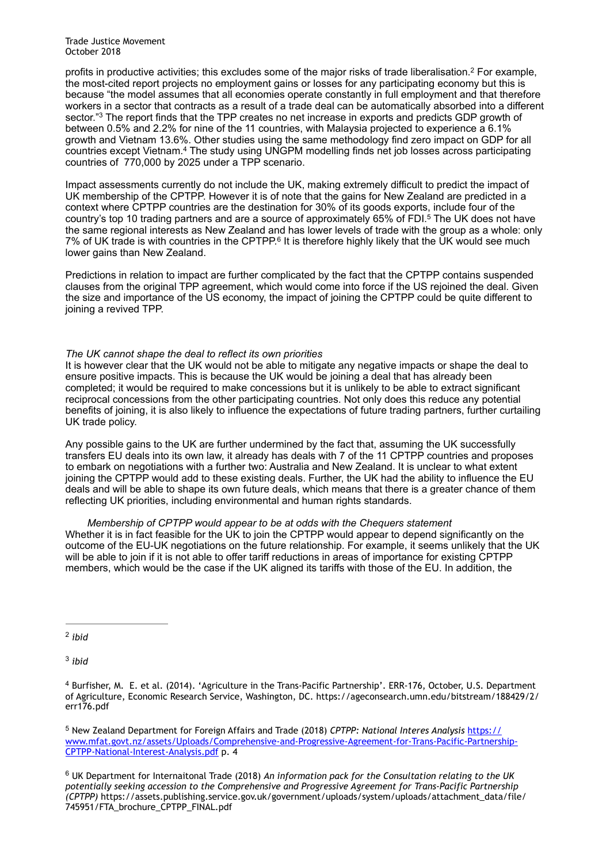Trade Justice Movement October 2018

profits in productive activities; this excludes some of the major risks of trade liberalisation.<sup>2</sup> For example, the most-cited report projects no employment gains or losses for any participating economy but this is because "the model assumes that all economies operate constantly in full employment and that therefore workers in a sector that contracts as a result of a trade deal can be automatically absorbed into a different sector."<sup>3</sup> The report finds that the TPP creates no net increase in exports and predicts GDP growth of between 0.5% and 2.2% for nine of the 11 countries, with Malaysia projected to experience a 6.1% growth and Vietnam 13.6%. Other studies using the same methodology find zero impact on GDP for all countries except Vietnam.<sup>4</sup> The study using UNGPM modelling finds net job losses across participating countries of 770,000 by 2025 under a TPP scenario.

Impact assessments currently do not include the UK, making extremely difficult to predict the impact of UK membership of the CPTPP. However it is of note that the gains for New Zealand are predicted in a context where CPTPP countries are the destination for 30% of its goods exports, include four of the country's top 10 trading partners and are a source of approximately 65% of FDI.<sup>5</sup> The UK does not have the same regional interests as New Zealand and has lower levels of trade with the group as a whole: only 7% of UK trade is with countries in the CPTPP.<sup>6</sup> It is therefore highly likely that the UK would see much lower gains than New Zealand.

Predictions in relation to impact are further complicated by the fact that the CPTPP contains suspended clauses from the original TPP agreement, which would come into force if the US rejoined the deal. Given the size and importance of the US economy, the impact of joining the CPTPP could be quite different to joining a revived TPP.

### *The UK cannot shape the deal to reflect its own priorities*

It is however clear that the UK would not be able to mitigate any negative impacts or shape the deal to ensure positive impacts. This is because the UK would be joining a deal that has already been completed; it would be required to make concessions but it is unlikely to be able to extract significant reciprocal concessions from the other participating countries. Not only does this reduce any potential benefits of joining, it is also likely to influence the expectations of future trading partners, further curtailing UK trade policy.

Any possible gains to the UK are further undermined by the fact that, assuming the UK successfully transfers EU deals into its own law, it already has deals with 7 of the 11 CPTPP countries and proposes to embark on negotiations with a further two: Australia and New Zealand. It is unclear to what extent joining the CPTPP would add to these existing deals. Further, the UK had the ability to influence the EU deals and will be able to shape its own future deals, which means that there is a greater chance of them reflecting UK priorities, including environmental and human rights standards.

#### *Membership of CPTPP would appear to be at odds with the Chequers statement*

Whether it is in fact feasible for the UK to join the CPTPP would appear to depend significantly on the outcome of the EU-UK negotiations on the future relationship. For example, it seems unlikely that the UK will be able to join if it is not able to offer tariff reductions in areas of importance for existing CPTPP members, which would be the case if the UK aligned its tariffs with those of the EU. In addition, the

<sup>2</sup> ibid

<sup>3</sup> ibid

 New Zealand Department for Foreign Affairs and Trade (2018) *CPTPP: National Interes Analysis* https:// <sup>5</sup> [www.mfat.govt.nz/assets/Uploads/Comprehensive-and-Progressive-Agreement-for-Trans-Pacific-Partnership-](https://www.mfat.govt.nz/assets/Uploads/Comprehensive-and-Progressive-Agreement-for-Trans-Pacific-Partnership-CPTPP-National-Interest-Analysis.pdf)CPTPP-National-Interest-Analysis.pdf p. 4

 UK Department for Internaitonal Trade (2018) *An information pack for the Consultation relating to the UK* <sup>6</sup> *potentially seeking accession to the Comprehensive and Progressive Agreement for Trans-Pacific Partnership (CPTPP)* https://assets.publishing.service.gov.uk/government/uploads/system/uploads/attachment\_data/file/ 745951/FTA\_brochure\_CPTPP\_FINAL.pdf

<sup>&</sup>lt;sup>4</sup> Burfisher, M. E. et al. (2014). 'Agriculture in the Trans-Pacific Partnership'. ERR-176, October, U.S. Department of Agriculture, Economic Research Service, Washington, DC. https://ageconsearch.umn.edu/bitstream/188429/2/ err176.pdf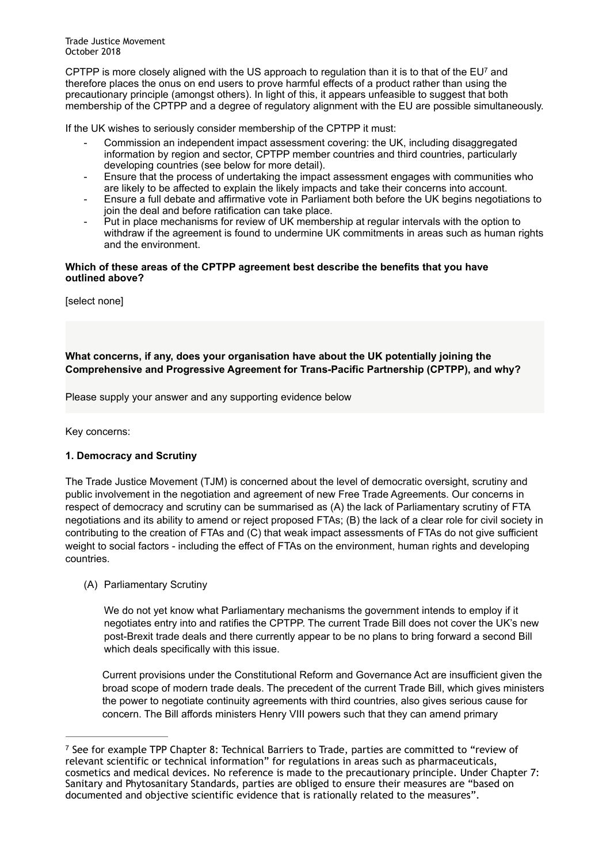Trade Justice Movement October 2018

CPTPP is more closely aligned with the US approach to regulation than it is to that of the  $EU<sup>7</sup>$  and therefore places the onus on end users to prove harmful effects of a product rather than using the precautionary principle (amongst others). In light of this, it appears unfeasible to suggest that both membership of the CPTPP and a degree of regulatory alignment with the EU are possible simultaneously.

If the UK wishes to seriously consider membership of the CPTPP it must:

- Commission an independent impact assessment covering: the UK, including disaggregated information by region and sector, CPTPP member countries and third countries, particularly developing countries (see below for more detail).
- Ensure that the process of undertaking the impact assessment engages with communities who are likely to be affected to explain the likely impacts and take their concerns into account.
- Ensure a full debate and affirmative vote in Parliament both before the UK begins negotiations to join the deal and before ratification can take place.
- Put in place mechanisms for review of UK membership at regular intervals with the option to withdraw if the agreement is found to undermine UK commitments in areas such as human rights and the environment.

### **Which of these areas of the CPTPP agreement best describe the benefits that you have outlined above?**

[select none]

# **What concerns, if any, does your organisation have about the UK potentially joining the Comprehensive and Progressive Agreement for Trans-Pacific Partnership (CPTPP), and why?**

Please supply your answer and any supporting evidence below

Key concerns:

# **1. Democracy and Scrutiny**

The Trade Justice Movement (TJM) is concerned about the level of democratic oversight, scrutiny and public involvement in the negotiation and agreement of new Free Trade Agreements. Our concerns in respect of democracy and scrutiny can be summarised as (A) the lack of Parliamentary scrutiny of FTA negotiations and its ability to amend or reject proposed FTAs; (B) the lack of a clear role for civil society in contributing to the creation of FTAs and (C) that weak impact assessments of FTAs do not give sufficient weight to social factors - including the effect of FTAs on the environment, human rights and developing countries.

# (A) Parliamentary Scrutiny

We do not yet know what Parliamentary mechanisms the government intends to employ if it negotiates entry into and ratifies the CPTPP. The current Trade Bill does not cover the UK's new post-Brexit trade deals and there currently appear to be no plans to bring forward a second Bill which deals specifically with this issue.

Current provisions under the Constitutional Reform and Governance Act are insufficient given the broad scope of modern trade deals. The precedent of the current Trade Bill, which gives ministers the power to negotiate continuity agreements with third countries, also gives serious cause for concern. The Bill affords ministers Henry VIII powers such that they can amend primary

 $\frac{7}{2}$  See for example TPP Chapter 8: Technical Barriers to Trade, parties are committed to "review of relevant scientific or technical information" for regulations in areas such as pharmaceuticals, cosmetics and medical devices. No reference is made to the precautionary principle. Under Chapter 7: Sanitary and Phytosanitary Standards, parties are obliged to ensure their measures are "based on documented and objective scientific evidence that is rationally related to the measures".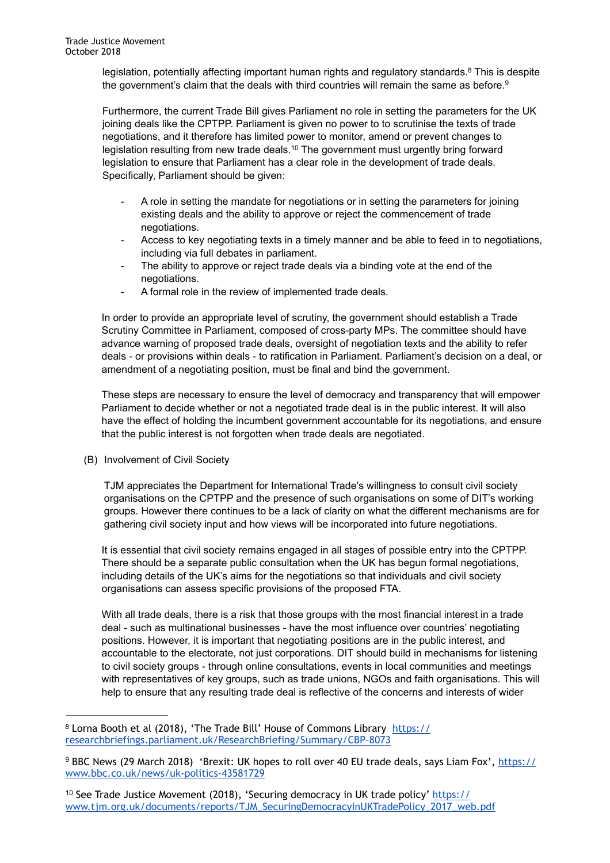legislation, potentially affecting important human rights and regulatory standards.<sup>8</sup> This is despite the government's claim that the deals with third countries will remain the same as before.<sup>9</sup>

Furthermore, the current Trade Bill gives Parliament no role in setting the parameters for the UK joining deals like the CPTPP. Parliament is given no power to to scrutinise the texts of trade negotiations, and it therefore has limited power to monitor, amend or prevent changes to legislation resulting from new trade deals.<sup>10</sup> The government must urgently bring forward legislation to ensure that Parliament has a clear role in the development of trade deals. Specifically, Parliament should be given:

- A role in setting the mandate for negotiations or in setting the parameters for joining existing deals and the ability to approve or reject the commencement of trade negotiations.
- Access to key negotiating texts in a timely manner and be able to feed in to negotiations, including via full debates in parliament.
- The ability to approve or reject trade deals via a binding vote at the end of the negotiations.
- A formal role in the review of implemented trade deals.

In order to provide an appropriate level of scrutiny, the government should establish a Trade Scrutiny Committee in Parliament, composed of cross-party MPs. The committee should have advance warning of proposed trade deals, oversight of negotiation texts and the ability to refer deals - or provisions within deals - to ratification in Parliament. Parliament's decision on a deal, or amendment of a negotiating position, must be final and bind the government.

These steps are necessary to ensure the level of democracy and transparency that will empower Parliament to decide whether or not a negotiated trade deal is in the public interest. It will also have the effect of holding the incumbent government accountable for its negotiations, and ensure that the public interest is not forgotten when trade deals are negotiated.

(B) Involvement of Civil Society

TJM appreciates the Department for International Trade's willingness to consult civil society organisations on the CPTPP and the presence of such organisations on some of DIT's working groups. However there continues to be a lack of clarity on what the different mechanisms are for gathering civil society input and how views will be incorporated into future negotiations.

It is essential that civil society remains engaged in all stages of possible entry into the CPTPP. There should be a separate public consultation when the UK has begun formal negotiations, including details of the UK's aims for the negotiations so that individuals and civil society organisations can assess specific provisions of the proposed FTA.

With all trade deals, there is a risk that those groups with the most financial interest in a trade deal - such as multinational businesses - have the most influence over countries' negotiating positions. However, it is important that negotiating positions are in the public interest, and accountable to the electorate, not just corporations. DIT should build in mechanisms for listening to civil society groups - through online consultations, events in local communities and meetings with representatives of key groups, such as trade unions, NGOs and faith organisations. This will help to ensure that any resulting trade deal is reflective of the concerns and interests of wider

<sup>&</sup>lt;sup>8</sup> [Lorna Booth et al \(2018\), 'The Trade Bill' House of Commons Library https://](https://researchbriefings.parliament.uk/ResearchBriefing/Summary/CBP-8073) researchbriefings.parliament.uk/ResearchBriefing/Summary/CBP-8073

<sup>&</sup>lt;sup>9</sup> [BBC News \(29 March 2018\) 'Brexit: UK hopes to roll over 40 EU trade deals, says Liam Fox', https://](https://www.bbc.co.uk/news/uk-politics-43581729) www.bbc.co.uk/news/uk-politics-43581729

<sup>&</sup>lt;sup>10</sup> See Trade Justice Movement (2018), 'Securing democracy in UK trade policy[' h](https://www.tjm.org.uk/documents/reports/TJM_SecuringDemocracyInUKTradePolicy_2017_web.pdf)ttps:// [www.tjm.org.uk/documents/reports/TJM\\_SecuringDemocracyInUKTradePolicy\\_2017\\_web.pdf](https://www.tjm.org.uk/documents/reports/TJM_SecuringDemocracyInUKTradePolicy_2017_web.pdf)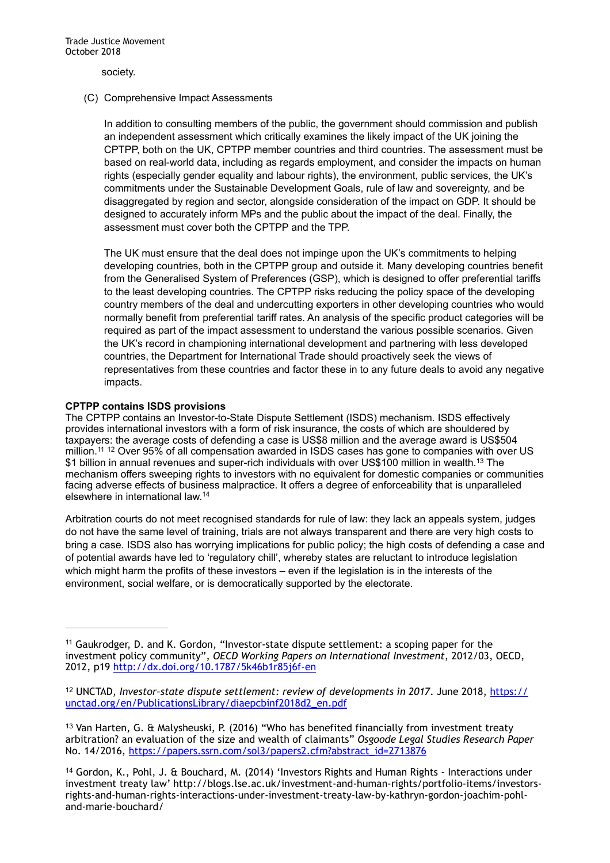society.

### (C) Comprehensive Impact Assessments

In addition to consulting members of the public, the government should commission and publish an independent assessment which critically examines the likely impact of the UK joining the CPTPP, both on the UK, CPTPP member countries and third countries. The assessment must be based on real-world data, including as regards employment, and consider the impacts on human rights (especially gender equality and labour rights), the environment, public services, the UK's commitments under the Sustainable Development Goals, rule of law and sovereignty, and be disaggregated by region and sector, alongside consideration of the impact on GDP. It should be designed to accurately inform MPs and the public about the impact of the deal. Finally, the assessment must cover both the CPTPP and the TPP.

The UK must ensure that the deal does not impinge upon the UK's commitments to helping developing countries, both in the CPTPP group and outside it. Many developing countries benefit from the Generalised System of Preferences (GSP), which is designed to offer preferential tariffs to the least developing countries. The CPTPP risks reducing the policy space of the developing country members of the deal and undercutting exporters in other developing countries who would normally benefit from preferential tariff rates. An analysis of the specific product categories will be required as part of the impact assessment to understand the various possible scenarios. Given the UK's record in championing international development and partnering with less developed countries, the Department for International Trade should proactively seek the views of representatives from these countries and factor these in to any future deals to avoid any negative impacts.

# **CPTPP contains ISDS provisions**

The CPTPP contains an Investor-to-State Dispute Settlement (ISDS) mechanism. ISDS effectively provides international investors with a form of risk insurance, the costs of which are shouldered by taxpayers: the average costs of defending a case is US\$8 million and the average award is US\$504 million.<sup>11 12</sup> Over 95% of all compensation awarded in ISDS cases has gone to companies with over US \$1 billion in annual revenues and super-rich individuals with over US\$100 million in wealth.<sup>13</sup> The mechanism offers sweeping rights to investors with no equivalent for domestic companies or communities facing adverse effects of business malpractice. It offers a degree of enforceability that is unparalleled elsewhere in international law.14

Arbitration courts do not meet recognised standards for rule of law: they lack an appeals system, judges do not have the same level of training, trials are not always transparent and there are very high costs to bring a case. ISDS also has worrying implications for public policy; the high costs of defending a case and of potential awards have led to 'regulatory chill', whereby states are reluctant to introduce legislation which might harm the profits of these investors – even if the legislation is in the interests of the environment, social welfare, or is democratically supported by the electorate.

 $11$  Gaukrodger, D. and K. Gordon, "Investor-state dispute settlement: a scoping paper for the investment policy community", *OECD Working Papers on International Investment*, 2012/03, OECD, 2012, p19 <http://dx.doi.org/10.1787/5k46b1r85j6f-en>

<sup>&</sup>lt;sup>12</sup> UNCTAD, *Investor-state dispute settlement: review of developments in 2017.* June 2018, https:// unctad.org/en/PublicationsLibrary/diaepcbinf2018d2\_en.pdf

 $13$  Van Harten, G. & Malysheuski, P. (2016) "Who has benefited financially from investment treaty arbitration? an evaluation of the size and wealth of claimants" *Osgoode Legal Studies Research Paper* No. 14/2016, [https://papers.ssrn.com/sol3/papers2.cfm?abstract\\_id=2713876](https://papers.ssrn.com/sol3/papers2.cfm?abstract_id=2713876)

<sup>&</sup>lt;sup>14</sup> Gordon, K., Pohl, J. & Bouchard, M. (2014) 'Investors Rights and Human Rights - Interactions under investment treaty law' http://blogs.lse.ac.uk/investment-and-human-rights/portfolio-items/investorsrights-and-human-rights-interactions-under-investment-treaty-law-by-kathryn-gordon-joachim-pohland-marie-bouchard/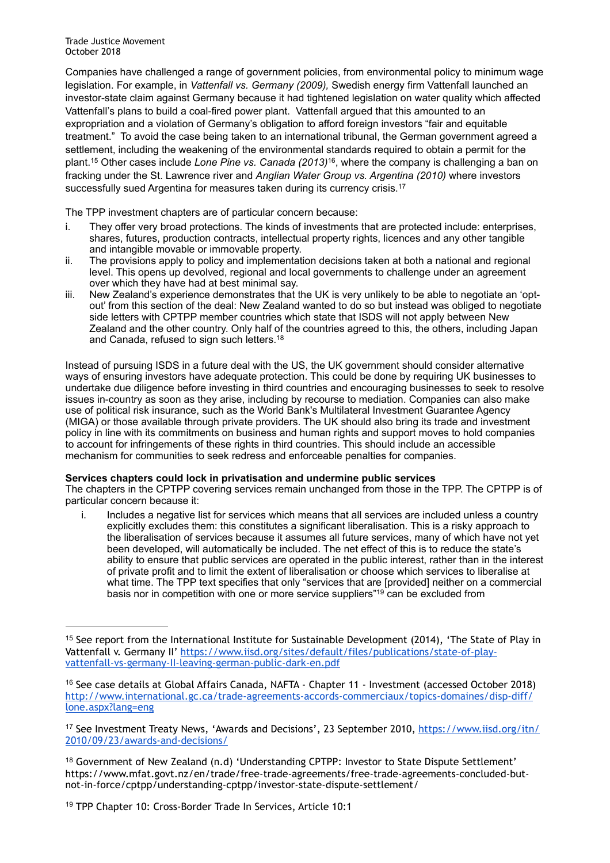Companies have challenged a range of government policies, from environmental policy to minimum wage legislation. For example, in *Vattenfall vs. Germany (2009),* Swedish energy firm Vattenfall launched an investor-state claim against Germany because it had tightened legislation on water quality which affected Vattenfall's plans to build a coal-fired power plant. Vattenfall argued that this amounted to an expropriation and a violation of Germany's obligation to afford foreign investors "fair and equitable treatment." To avoid the case being taken to an international tribunal, the German government agreed a settlement, including the weakening of the environmental standards required to obtain a permit for the plant.<sup>15</sup> Other cases include *Lone Pine vs. Canada (2013)*<sup>16</sup>, where the company is challenging a ban on fracking under the St. Lawrence river and *Anglian Water Group vs. Argentina (2010)* where investors successfully sued Argentina for measures taken during its currency crisis.<sup>17</sup>

The TPP investment chapters are of particular concern because:

- i. They offer very broad protections. The kinds of investments that are protected include: enterprises, shares, futures, production contracts, intellectual property rights, licences and any other tangible and intangible movable or immovable property.
- ii. The provisions apply to policy and implementation decisions taken at both a national and regional level. This opens up devolved, regional and local governments to challenge under an agreement over which they have had at best minimal say.
- iii. New Zealand's experience demonstrates that the UK is very unlikely to be able to negotiate an 'optout' from this section of the deal: New Zealand wanted to do so but instead was obliged to negotiate side letters with CPTPP member countries which state that ISDS will not apply between New Zealand and the other country. Only half of the countries agreed to this, the others, including Japan and Canada, refused to sign such letters.18

Instead of pursuing ISDS in a future deal with the US, the UK government should consider alternative ways of ensuring investors have adequate protection. This could be done by requiring UK businesses to undertake due diligence before investing in third countries and encouraging businesses to seek to resolve issues in-country as soon as they arise, including by recourse to mediation. Companies can also make use of political risk insurance, such as the World Bank's Multilateral Investment Guarantee Agency (MIGA) or those available through private providers. The UK should also bring its trade and investment policy in line with its commitments on business and human rights and support moves to hold companies to account for infringements of these rights in third countries. This should include an accessible mechanism for communities to seek redress and enforceable penalties for companies.

# **Services chapters could lock in privatisation and undermine public services**

The chapters in the CPTPP covering services remain unchanged from those in the TPP. The CPTPP is of particular concern because it:

i. Includes a negative list for services which means that all services are included unless a country explicitly excludes them: this constitutes a significant liberalisation. This is a risky approach to the liberalisation of services because it assumes all future services, many of which have not yet been developed, will automatically be included. The net effect of this is to reduce the state's ability to ensure that public services are operated in the public interest, rather than in the interest of private profit and to limit the extent of liberalisation or choose which services to liberalise at what time. The TPP text specifies that only "services that are [provided] neither on a commercial basis nor in competition with one or more service suppliers"<sup>19</sup> can be excluded from

 $15$  See report from the International Institute for Sustainable Development (2014), 'The State of Play in [Vattenfall v. Germany II' https://www.iisd.org/sites/default/files/publications/state-of-play](https://www.iisd.org/sites/default/files/publications/state-of-play-vattenfall-vs-germany-II-leaving-german-public-dark-en.pdf)vattenfall-vs-germany-II-leaving-german-public-dark-en.pdf

 $16$  See case details at Global Affairs Canada, NAFTA - Chapter 11 - Investment (accessed October 2018) [http://www.international.gc.ca/trade-agreements-accords-commerciaux/topics-domaines/disp-diff/](http://www.international.gc.ca/trade-agreements-accords-commerciaux/topics-domaines/disp-diff/lone.aspx?lang=eng) lone.aspx?lang=eng

<sup>&</sup>lt;sup>17</sup> [See Investment Treaty News, 'Awards and Decisions', 23 September 2010, https://www.iisd.org/itn/](https://www.iisd.org/itn/2010/09/23/awards-and-decisions/) 2010/09/23/awards-and-decisions/

<sup>&</sup>lt;sup>18</sup> Government of New Zealand (n.d) 'Understanding CPTPP: Investor to State Dispute Settlement' https://www.mfat.govt.nz/en/trade/free-trade-agreements/free-trade-agreements-concluded-butnot-in-force/cptpp/understanding-cptpp/investor-state-dispute-settlement/

<sup>&</sup>lt;sup>19</sup> TPP Chapter 10: Cross-Border Trade In Services, Article 10:1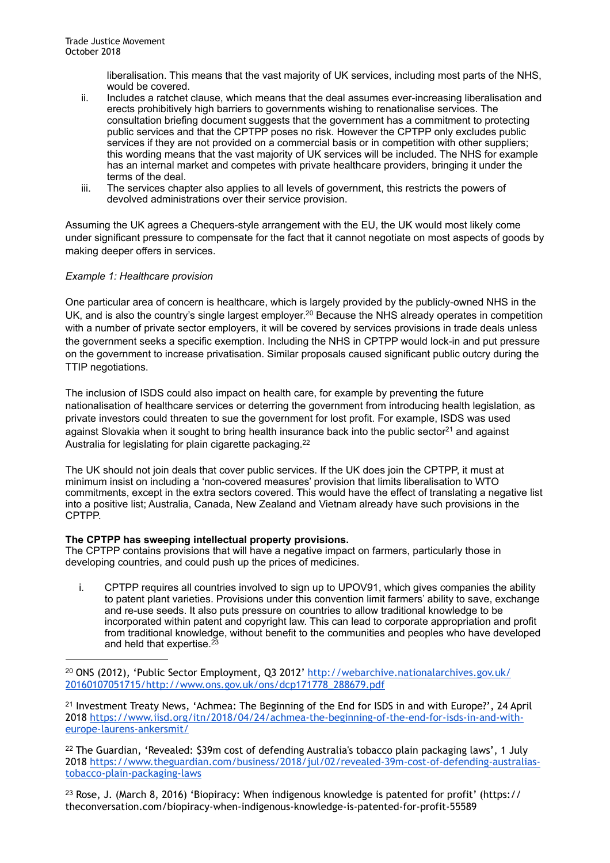liberalisation. This means that the vast majority of UK services, including most parts of the NHS, would be covered.

- ii. Includes a ratchet clause, which means that the deal assumes ever-increasing liberalisation and erects prohibitively high barriers to governments wishing to renationalise services. The consultation briefing document suggests that the government has a commitment to protecting public services and that the CPTPP poses no risk. However the CPTPP only excludes public services if they are not provided on a commercial basis or in competition with other suppliers; this wording means that the vast majority of UK services will be included. The NHS for example has an internal market and competes with private healthcare providers, bringing it under the terms of the deal.
- iii. The services chapter also applies to all levels of government, this restricts the powers of devolved administrations over their service provision.

Assuming the UK agrees a Chequers-style arrangement with the EU, the UK would most likely come under significant pressure to compensate for the fact that it cannot negotiate on most aspects of goods by making deeper offers in services.

# *Example 1: Healthcare provision*

One particular area of concern is healthcare, which is largely provided by the publicly-owned NHS in the UK, and is also the country's single largest employer.<sup>20</sup> Because the NHS already operates in competition with a number of private sector employers, it will be covered by services provisions in trade deals unless the government seeks a specific exemption. Including the NHS in CPTPP would lock-in and put pressure on the government to increase privatisation. Similar proposals caused significant public outcry during the TTIP negotiations.

The inclusion of ISDS could also impact on health care, for example by preventing the future nationalisation of healthcare services or deterring the government from introducing health legislation, as private investors could threaten to sue the government for lost profit. For example, ISDS was used against Slovakia when it sought to bring health insurance back into the public sector<sup>21</sup> and against Australia for legislating for plain cigarette packaging.<sup>22</sup>

The UK should not join deals that cover public services. If the UK does join the CPTPP, it must at minimum insist on including a 'non-covered measures' provision that limits liberalisation to WTO commitments, except in the extra sectors covered. This would have the effect of translating a negative list into a positive list; Australia, Canada, New Zealand and Vietnam already have such provisions in the CPTPP.

# **The CPTPP has sweeping intellectual property provisions.**

The CPTPP contains provisions that will have a negative impact on farmers, particularly those in developing countries, and could push up the prices of medicines.

i. CPTPP requires all countries involved to sign up to UPOV91, which gives companies the ability to patent plant varieties. Provisions under this convention limit farmers' ability to save, exchange and re-use seeds. It also puts pressure on countries to allow traditional knowledge to be incorporated within patent and copyright law. This can lead to corporate appropriation and profit from traditional knowledge, without benefit to the communities and peoples who have developed and held that expertise.<sup>23</sup>

 $21$  Investment Treaty News, 'Achmea: The Beginning of the End for ISDS in and with Europe?', 24 April [2018 https://www.iisd.org/itn/2018/04/24/achmea-the-beginning-of-the-end-for-isds-in-and-with](https://www.iisd.org/itn/2018/04/24/achmea-the-beginning-of-the-end-for-isds-in-and-with-europe-laurens-ankersmit/)europe-laurens-ankersmit/

<sup>22</sup> The Guardian, 'Revealed: \$39m cost of defending Australia's tobacco plain packaging laws', 1 July [2018 https://www.theguardian.com/business/2018/jul/02/revealed-39m-cost-of-defending-australias](https://www.theguardian.com/business/2018/jul/02/revealed-39m-cost-of-defending-australias-tobacco-plain-packaging-laws)tobacco-plain-packaging-laws

<sup>23</sup> Rose, J. (March 8, 2016) 'Biopiracy: When indigenous knowledge is patented for profit' (https:// theconversation.com/biopiracy-when-indigenous-knowledge-is-patented-for-profit-55589

<sup>&</sup>lt;sup>20</sup> [ONS \(2012\), 'Public Sector Employment, Q3 2012' http://webarchive.nationalarchives.gov.uk/](http://webarchive.nationalarchives.gov.uk/20160107051715/http://www.ons.gov.uk/ons/dcp171778_288679.pdf) 20160107051715/http://www.ons.gov.uk/ons/dcp171778\_288679.pdf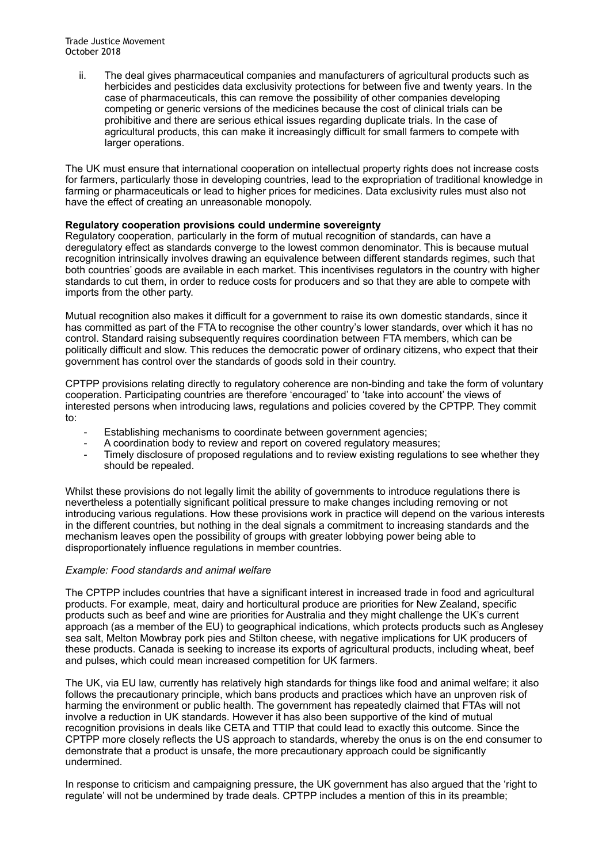ii. The deal gives pharmaceutical companies and manufacturers of agricultural products such as herbicides and pesticides data exclusivity protections for between five and twenty years. In the case of pharmaceuticals, this can remove the possibility of other companies developing competing or generic versions of the medicines because the cost of clinical trials can be prohibitive and there are serious ethical issues regarding duplicate trials. In the case of agricultural products, this can make it increasingly difficult for small farmers to compete with larger operations.

The UK must ensure that international cooperation on intellectual property rights does not increase costs for farmers, particularly those in developing countries, lead to the expropriation of traditional knowledge in farming or pharmaceuticals or lead to higher prices for medicines. Data exclusivity rules must also not have the effect of creating an unreasonable monopoly.

# **Regulatory cooperation provisions could undermine sovereignty**

Regulatory cooperation, particularly in the form of mutual recognition of standards, can have a deregulatory effect as standards converge to the lowest common denominator. This is because mutual recognition intrinsically involves drawing an equivalence between different standards regimes, such that both countries' goods are available in each market. This incentivises regulators in the country with higher standards to cut them, in order to reduce costs for producers and so that they are able to compete with imports from the other party.

Mutual recognition also makes it difficult for a government to raise its own domestic standards, since it has committed as part of the FTA to recognise the other country's lower standards, over which it has no control. Standard raising subsequently requires coordination between FTA members, which can be politically difficult and slow. This reduces the democratic power of ordinary citizens, who expect that their government has control over the standards of goods sold in their country.

CPTPP provisions relating directly to regulatory coherence are non-binding and take the form of voluntary cooperation. Participating countries are therefore 'encouraged' to 'take into account' the views of interested persons when introducing laws, regulations and policies covered by the CPTPP. They commit to:

- Establishing mechanisms to coordinate between government agencies;
- A coordination body to review and report on covered regulatory measures;
- Timely disclosure of proposed regulations and to review existing regulations to see whether they should be repealed.

Whilst these provisions do not legally limit the ability of governments to introduce regulations there is nevertheless a potentially significant political pressure to make changes including removing or not introducing various regulations. How these provisions work in practice will depend on the various interests in the different countries, but nothing in the deal signals a commitment to increasing standards and the mechanism leaves open the possibility of groups with greater lobbying power being able to disproportionately influence regulations in member countries.

### *Example: Food standards and animal welfare*

The CPTPP includes countries that have a significant interest in increased trade in food and agricultural products. For example, meat, dairy and horticultural produce are priorities for New Zealand, specific products such as beef and wine are priorities for Australia and they might challenge the UK's current approach (as a member of the EU) to geographical indications, which protects products such as Anglesey sea salt, Melton Mowbray pork pies and Stilton cheese, with negative implications for UK producers of these products. Canada is seeking to increase its exports of agricultural products, including wheat, beef and pulses, which could mean increased competition for UK farmers.

The UK, via EU law, currently has relatively high standards for things like food and animal welfare; it also follows the precautionary principle, which bans products and practices which have an unproven risk of harming the environment or public health. The government has repeatedly claimed that FTAs will not involve a reduction in UK standards. However it has also been supportive of the kind of mutual recognition provisions in deals like CETA and TTIP that could lead to exactly this outcome. Since the CPTPP more closely reflects the US approach to standards, whereby the onus is on the end consumer to demonstrate that a product is unsafe, the more precautionary approach could be significantly undermined.

In response to criticism and campaigning pressure, the UK government has also argued that the 'right to regulate' will not be undermined by trade deals. CPTPP includes a mention of this in its preamble;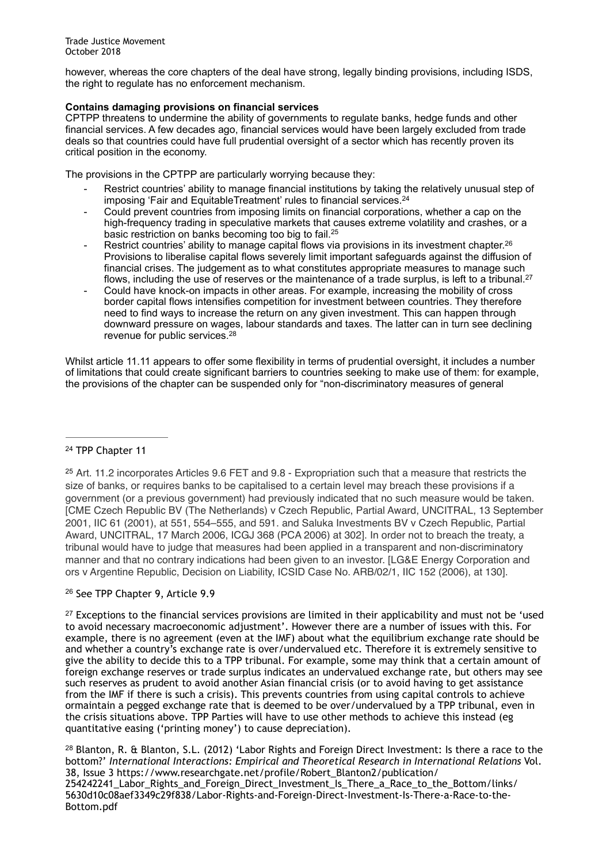however, whereas the core chapters of the deal have strong, legally binding provisions, including ISDS, the right to regulate has no enforcement mechanism.

# **Contains damaging provisions on financial services**

CPTPP threatens to undermine the ability of governments to regulate banks, hedge funds and other financial services. A few decades ago, financial services would have been largely excluded from trade deals so that countries could have full prudential oversight of a sector which has recently proven its critical position in the economy.

The provisions in the CPTPP are particularly worrying because they:

- Restrict countries' ability to manage financial institutions by taking the relatively unusual step of imposing 'Fair and EquitableTreatment' rules to financial services.<sup>24</sup>
- Could prevent countries from imposing limits on financial corporations, whether a cap on the high-frequency trading in speculative markets that causes extreme volatility and crashes, or a basic restriction on banks becoming too big to fail.<sup>25</sup>
- Restrict countries' ability to manage capital flows via provisions in its investment chapter.<sup>26</sup> Provisions to liberalise capital flows severely limit important safeguards against the diffusion of financial crises. The judgement as to what constitutes appropriate measures to manage such flows, including the use of reserves or the maintenance of a trade surplus, is left to a tribunal.<sup>27</sup>
- Could have knock-on impacts in other areas. For example, increasing the mobility of cross border capital flows intensifies competition for investment between countries. They therefore need to find ways to increase the return on any given investment. This can happen through downward pressure on wages, labour standards and taxes. The latter can in turn see declining revenue for public services.28

Whilst article 11.11 appears to offer some flexibility in terms of prudential oversight, it includes a number of limitations that could create significant barriers to countries seeking to make use of them: for example, the provisions of the chapter can be suspended only for "non-discriminatory measures of general

# <sup>24</sup> TPP Chapter 11

 $25$  Art. 11.2 incorporates Articles 9.6 FET and 9.8 - Expropriation such that a measure that restricts the size of banks, or requires banks to be capitalised to a certain level may breach these provisions if a government (or a previous government) had previously indicated that no such measure would be taken. [CME Czech Republic BV (The Netherlands) v Czech Republic, Partial Award, UNCITRAL, 13 September 2001, IIC 61 (2001), at 551, 554–555, and 591. and Saluka Investments BV v Czech Republic, Partial Award, UNCITRAL, 17 March 2006, ICGJ 368 (PCA 2006) at 302]. In order not to breach the treaty, a tribunal would have to judge that measures had been applied in a transparent and non-discriminatory manner and that no contrary indications had been given to an investor. [LG&E Energy Corporation and ors v Argentine Republic, Decision on Liability, ICSID Case No. ARB/02/1, IIC 152 (2006), at 130].

# <sup>26</sup> See TPP Chapter 9, Article 9.9

 $27$  Exceptions to the financial services provisions are limited in their applicability and must not be 'used to avoid necessary macroeconomic adjustment'. However there are a number of issues with this. For example, there is no agreement (even at the IMF) about what the equilibrium exchange rate should be and whether a country's exchange rate is over/undervalued etc. Therefore it is extremely sensitive to give the ability to decide this to a TPP tribunal. For example, some may think that a certain amount of foreign exchange reserves or trade surplus indicates an undervalued exchange rate, but others may see such reserves as prudent to avoid another Asian financial crisis (or to avoid having to get assistance from the IMF if there is such a crisis). This prevents countries from using capital controls to achieve ormaintain a pegged exchange rate that is deemed to be over/undervalued by a TPP tribunal, even in the crisis situations above. TPP Parties will have to use other methods to achieve this instead (eg quantitative easing ('printing money') to cause depreciation).

<sup>28</sup> Blanton, R. & Blanton, S.L. (2012) 'Labor Rights and Foreign Direct Investment: Is there a race to the bottom?' *International Interactions: Empirical and Theoretical Research in International Relations* Vol. 38, Issue 3 https://www.researchgate.net/profile/Robert\_Blanton2/publication/ 254242241 Labor Rights and Foreign Direct Investment Is There a Race to the Bottom/links/ 5630d10c08aef3349c29f838/Labor-Rights-and-Foreign-Direct-Investment-Is-There-a-Race-to-the-Bottom.pdf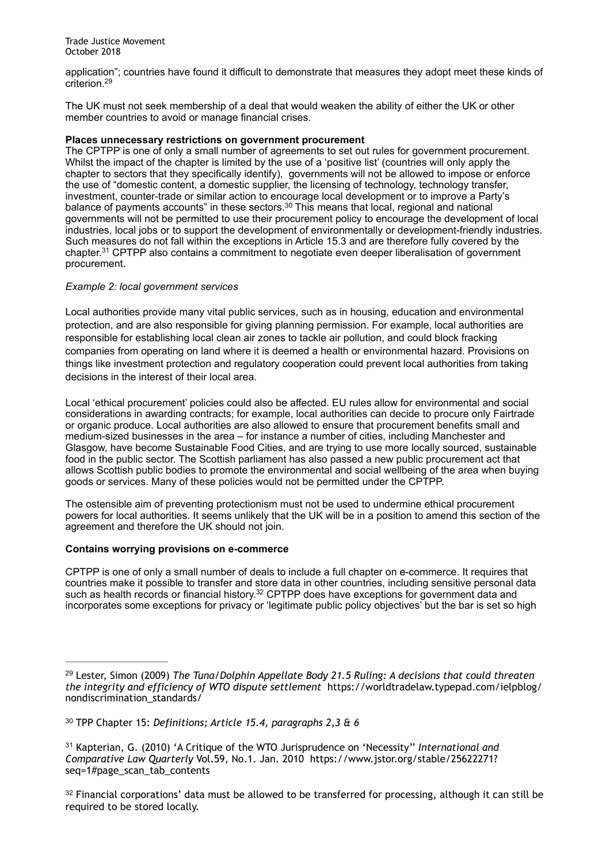application"; countries have found it difficult to demonstrate that measures they adopt meet these kinds of criterion. 29

The UK must not seek membership of a deal that would weaken the ability of either the UK or other member countries to avoid or manage financial crises.

### **Places unnecessary restrictions on government procurement**

The CPTPP is one of only a small number of agreements to set out rules for government procurement. Whilst the impact of the chapter is limited by the use of a 'positive list' (countries will only apply the chapter to sectors that they specifically identify), governments will not be allowed to impose or enforce the use of "domestic content, a domestic supplier, the licensing of technology, technology transfer, investment, counter-trade or similar action to encourage local development or to improve a Party's balance of payments accounts" in these sectors. $30$  This means that local, regional and national governments will not be permitted to use their procurement policy to encourage the development of local industries, local jobs or to support the development of environmentally or development-friendly industries. Such measures do not fall within the exceptions in Article 15.3 and are therefore fully covered by the chapter.<sup>31</sup> CPTPP also contains a commitment to negotiate even deeper liberalisation of government procurement.

# *Example 2: local government services*

Local authorities provide many vital public services, such as in housing, education and environmental protection, and are also responsible for giving planning permission. For example, local authorities are responsible for establishing local clean air zones to tackle air pollution, and could block fracking companies from operating on land where it is deemed a health or environmental hazard. Provisions on things like investment protection and regulatory cooperation could prevent local authorities from taking decisions in the interest of their local area.

Local 'ethical procurement' policies could also be affected. EU rules allow for environmental and social considerations in awarding contracts; for example, local authorities can decide to procure only Fairtrade or organic produce. Local authorities are also allowed to ensure that procurement benefits small and medium-sized businesses in the area – for instance a number of cities, including Manchester and Glasgow, have become Sustainable Food Cities, and are trying to use more locally sourced, sustainable food in the public sector. The Scottish parliament has also passed a new public procurement act that allows Scottish public bodies to promote the environmental and social wellbeing of the area when buying goods or services. Many of these policies would not be permitted under the CPTPP.

The ostensible aim of preventing protectionism must not be used to undermine ethical procurement powers for local authorities. It seems unlikely that the UK will be in a position to amend this section of the agreement and therefore the UK should not join.

# **Contains worrying provisions on e-commerce**

CPTPP is one of only a small number of deals to include a full chapter on e-commerce. It requires that countries make it possible to transfer and store data in other countries, including sensitive personal data such as health records or financial history.  $32$  CPTPP does have exceptions for government data and incorporates some exceptions for privacy or 'legitimate public policy objectives' but the bar is set so high

<sup>&</sup>lt;sup>29</sup> Lester, Simon (2009) *The Tuna/Dolphin Appellate Body 21.5 Ruling: A decisions that could threaten the integrity and efficiency of WTO dispute settlement* https://worldtradelaw.typepad.com/ielpblog/ nondiscrimination\_standards/

<sup>&</sup>lt;sup>30</sup> TPP Chapter 15: *Definitions; Article 15.4, paragraphs 2,3 & 6* 

<sup>&</sup>lt;sup>31</sup> Kapterian, G. (2010) 'A Critique of the WTO Jurisprudence on 'Necessity'' *International and Comparative Law Quarterly* Vol.59, No.1. Jan. 2010 https://www.jstor.org/stable/25622271? seq=1#page\_scan\_tab\_contents

<sup>&</sup>lt;sup>32</sup> Financial corporations' data must be allowed to be transferred for processing, although it can still be required to be stored locally.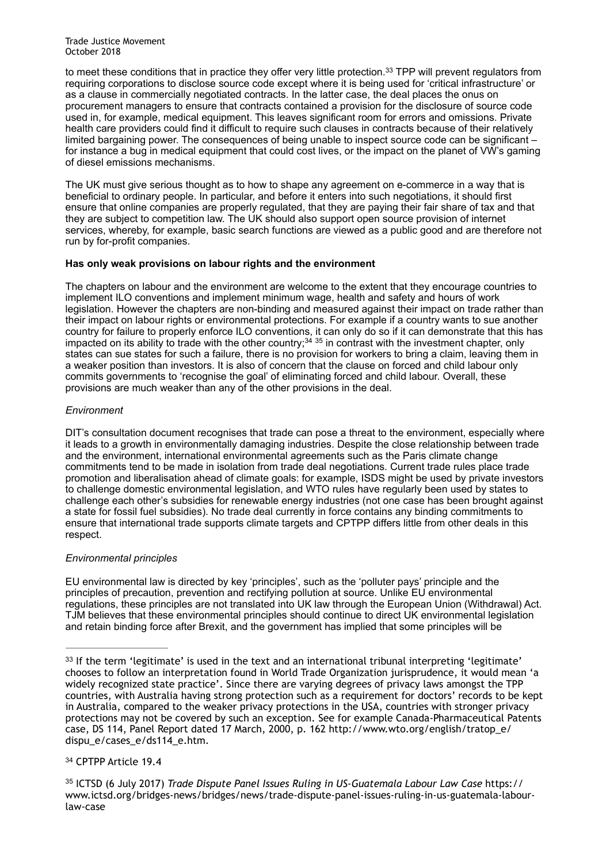to meet these conditions that in practice they offer very little protection.<sup>33</sup> TPP will prevent regulators from requiring corporations to disclose source code except where it is being used for 'critical infrastructure' or as a clause in commercially negotiated contracts. In the latter case, the deal places the onus on procurement managers to ensure that contracts contained a provision for the disclosure of source code used in, for example, medical equipment. This leaves significant room for errors and omissions. Private health care providers could find it difficult to require such clauses in contracts because of their relatively limited bargaining power. The consequences of being unable to inspect source code can be significant – for instance a bug in medical equipment that could cost lives, or the impact on the planet of VW's gaming of diesel emissions mechanisms.

The UK must give serious thought as to how to shape any agreement on e-commerce in a way that is beneficial to ordinary people. In particular, and before it enters into such negotiations, it should first ensure that online companies are properly regulated, that they are paying their fair share of tax and that they are subject to competition law. The UK should also support open source provision of internet services, whereby, for example, basic search functions are viewed as a public good and are therefore not run by for-profit companies.

# **Has only weak provisions on labour rights and the environment**

The chapters on labour and the environment are welcome to the extent that they encourage countries to implement ILO conventions and implement minimum wage, health and safety and hours of work legislation. However the chapters are non-binding and measured against their impact on trade rather than their impact on labour rights or environmental protections. For example if a country wants to sue another country for failure to properly enforce ILO conventions, it can only do so if it can demonstrate that this has impacted on its ability to trade with the other country;<sup>34 35</sup> in contrast with the investment chapter, only states can sue states for such a failure, there is no provision for workers to bring a claim, leaving them in a weaker position than investors. It is also of concern that the clause on forced and child labour only commits governments to 'recognise the goal' of eliminating forced and child labour. Overall, these provisions are much weaker than any of the other provisions in the deal.

# *Environment*

DIT's consultation document recognises that trade can pose a threat to the environment, especially where it leads to a growth in environmentally damaging industries. Despite the close relationship between trade and the environment, international environmental agreements such as the Paris climate change commitments tend to be made in isolation from trade deal negotiations. Current trade rules place trade promotion and liberalisation ahead of climate goals: for example, ISDS might be used by private investors to challenge domestic environmental legislation, and WTO rules have regularly been used by states to challenge each other's subsidies for renewable energy industries (not one case has been brought against a state for fossil fuel subsidies). No trade deal currently in force contains any binding commitments to ensure that international trade supports climate targets and CPTPP differs little from other deals in this respect.

# *Environmental principles*

EU environmental law is directed by key 'principles', such as the 'polluter pays' principle and the principles of precaution, prevention and rectifying pollution at source. Unlike EU environmental regulations, these principles are not translated into UK law through the European Union (Withdrawal) Act. TJM believes that these environmental principles should continue to direct UK environmental legislation and retain binding force after Brexit, and the government has implied that some principles will be

# <sup>34</sup> CPTPP Article 19.4

 ICTSD (6 July 2017) *Trade Dispute Panel Issues Ruling in US-Guatemala Labour Law Case* https:// <sup>35</sup> www.ictsd.org/bridges-news/bridges/news/trade-dispute-panel-issues-ruling-in-us-guatemala-labourlaw-case

 $33$  If the term 'legitimate' is used in the text and an international tribunal interpreting 'legitimate' chooses to follow an interpretation found in World Trade Organization jurisprudence, it would mean 'a widely recognized state practice'. Since there are varying degrees of privacy laws amongst the TPP countries, with Australia having strong protection such as a requirement for doctors' records to be kept in Australia, compared to the weaker privacy protections in the USA, countries with stronger privacy protections may not be covered by such an exception. See for example Canada-Pharmaceutical Patents case, DS 114, Panel Report dated 17 March, 2000, p. 162 http://www.wto.org/english/tratop\_e/ dispu\_e/cases\_e/ds114\_e.htm.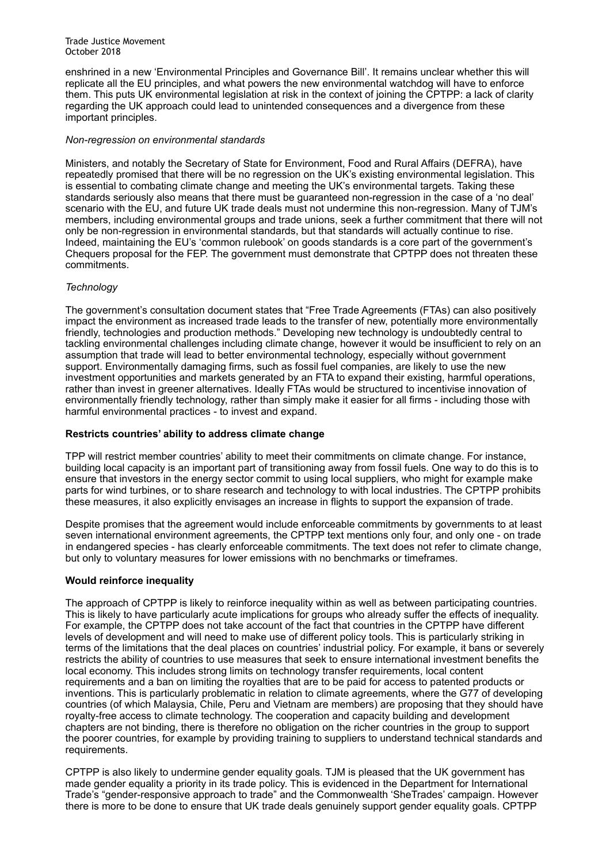enshrined in a new 'Environmental Principles and Governance Bill'. It remains unclear whether this will replicate all the EU principles, and what powers the new environmental watchdog will have to enforce them. This puts UK environmental legislation at risk in the context of joining the CPTPP: a lack of clarity regarding the UK approach could lead to unintended consequences and a divergence from these important principles.

## *Non-regression on environmental standards*

Ministers, and notably the Secretary of State for Environment, Food and Rural Affairs (DEFRA), have repeatedly promised that there will be no regression on the UK's existing environmental legislation. This is essential to combating climate change and meeting the UK's environmental targets. Taking these standards seriously also means that there must be guaranteed non-regression in the case of a 'no deal' scenario with the EU, and future UK trade deals must not undermine this non-regression. Many of TJM's members, including environmental groups and trade unions, seek a further commitment that there will not only be non-regression in environmental standards, but that standards will actually continue to rise. Indeed, maintaining the EU's 'common rulebook' on goods standards is a core part of the government's Chequers proposal for the FEP. The government must demonstrate that CPTPP does not threaten these commitments.

# *Technology*

The government's consultation document states that "Free Trade Agreements (FTAs) can also positively impact the environment as increased trade leads to the transfer of new, potentially more environmentally friendly, technologies and production methods." Developing new technology is undoubtedly central to tackling environmental challenges including climate change, however it would be insufficient to rely on an assumption that trade will lead to better environmental technology, especially without government support. Environmentally damaging firms, such as fossil fuel companies, are likely to use the new investment opportunities and markets generated by an FTA to expand their existing, harmful operations, rather than invest in greener alternatives. Ideally FTAs would be structured to incentivise innovation of environmentally friendly technology, rather than simply make it easier for all firms - including those with harmful environmental practices - to invest and expand.

## **Restricts countries' ability to address climate change**

TPP will restrict member countries' ability to meet their commitments on climate change. For instance, building local capacity is an important part of transitioning away from fossil fuels. One way to do this is to ensure that investors in the energy sector commit to using local suppliers, who might for example make parts for wind turbines, or to share research and technology to with local industries. The CPTPP prohibits these measures, it also explicitly envisages an increase in flights to support the expansion of trade.

Despite promises that the agreement would include enforceable commitments by governments to at least seven international environment agreements, the CPTPP text mentions only four, and only one - on trade in endangered species - has clearly enforceable commitments. The text does not refer to climate change, but only to voluntary measures for lower emissions with no benchmarks or timeframes.

# **Would reinforce inequality**

The approach of CPTPP is likely to reinforce inequality within as well as between participating countries. This is likely to have particularly acute implications for groups who already suffer the effects of inequality. For example, the CPTPP does not take account of the fact that countries in the CPTPP have different levels of development and will need to make use of different policy tools. This is particularly striking in terms of the limitations that the deal places on countries' industrial policy. For example, it bans or severely restricts the ability of countries to use measures that seek to ensure international investment benefits the local economy. This includes strong limits on technology transfer requirements, local content requirements and a ban on limiting the royalties that are to be paid for access to patented products or inventions. This is particularly problematic in relation to climate agreements, where the G77 of developing countries (of which Malaysia, Chile, Peru and Vietnam are members) are proposing that they should have royalty-free access to climate technology. The cooperation and capacity building and development chapters are not binding, there is therefore no obligation on the richer countries in the group to support the poorer countries, for example by providing training to suppliers to understand technical standards and requirements.

CPTPP is also likely to undermine gender equality goals. TJM is pleased that the UK government has made gender equality a priority in its trade policy. This is evidenced in the Department for International Trade's "gender-responsive approach to trade" and the Commonwealth 'SheTrades' campaign. However there is more to be done to ensure that UK trade deals genuinely support gender equality goals. CPTPP